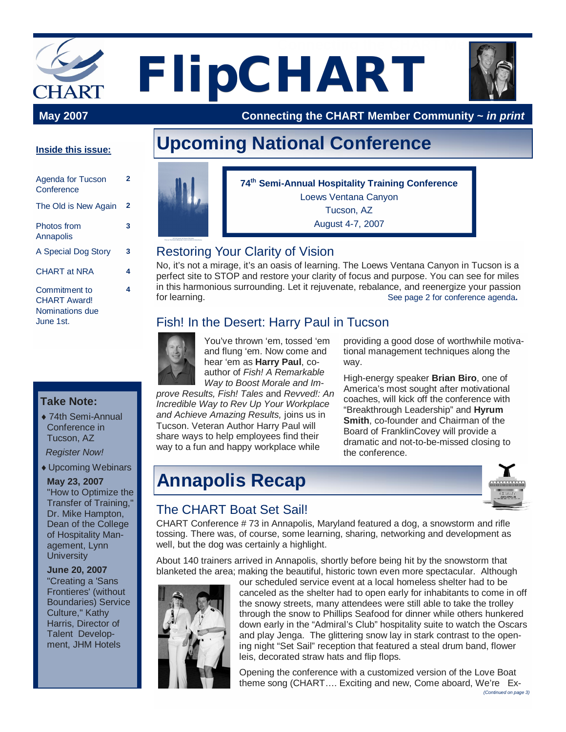# **FlipCHART May 2007 Connecting the CHART Members**

 **May 2007 Connecting the CHART Member Community ~** *in print*

#### **Inside this issue:**

**2**

**3**

| Agenda for Tucson<br>Conference                                      | 2 |
|----------------------------------------------------------------------|---|
| The Old is New Again                                                 | 2 |
| Photos from<br>Annapolis                                             | 3 |
| A Special Dog Story                                                  | 3 |
| <b>CHART at NRA</b>                                                  | 4 |
| Commitment to<br><b>CHART Award!</b><br>Nominations due<br>June 1st. | 4 |

#### **Take Note:**

◆ 74th Semi-Annual Conference in Tucson, AZ

*Register Now!*

◆ Upcoming Webinars

#### **May 23, 2007**

"How to Optimize the Transfer of Training," Dr. Mike Hampton, Dean of the College of Hospitality Management, Lynn **University** 

#### **June 20, 2007**

"Creating a 'Sans Frontieres' (without Boundaries) Service Culture," Kathy Harris, Director of Talent Development, JHM Hotels

# **Upcoming National Conference**



### Restoring Your Clarity of Vision

No, it's not a mirage, it's an oasis of learning. The Loews Ventana Canyon in Tucson is a perfect site to STOP and restore your clarity of focus and purpose. You can see for miles in this harmonious surrounding. Let it rejuvenate, rebalance, and reenergize your passion for learning. See page 2 for conference agenda**.**

### Fish! In the Desert: Harry Paul in Tucson



You've thrown 'em, tossed 'em and flung 'em. Now come and hear 'em as **Harry Paul**, coauthor of *Fish! A Remarkable Way to Boost Morale and Im-*

*prove Results, Fish! Tales* and *Revved!: An Incredible Way to Rev Up Your Workplace and Achieve Amazing Results,* joins us in Tucson. Veteran Author Harry Paul will share ways to help employees find their way to a fun and happy workplace while

providing a good dose of worthwhile motivational management techniques along the way.

High-energy speaker **Brian Biro**, one of America's most sought after motivational coaches, will kick off the conference with "Breakthrough Leadership" and **Hyrum Smith**, co-founder and Chairman of the Board of FranklinCovey will provide a dramatic and not-to-be-missed closing to the conference.

# **Annapolis Recap**



### The CHART Boat Set Sail!

CHART Conference # 73 in Annapolis, Maryland featured a dog, a snowstorm and rifle tossing. There was, of course, some learning, sharing, networking and development as well, but the dog was certainly a highlight.

About 140 trainers arrived in Annapolis, shortly before being hit by the snowstorm that blanketed the area; making the beautiful, historic town even more spectacular. Although



our scheduled service event at a local homeless shelter had to be canceled as the shelter had to open early for inhabitants to come in off the snowy streets, many attendees were still able to take the trolley through the snow to Phillips Seafood for dinner while others hunkered down early in the "Admiral's Club" hospitality suite to watch the Oscars and play Jenga. The glittering snow lay in stark contrast to the opening night "Set Sail" reception that featured a steal drum band, flower leis, decorated straw hats and flip flops.

Opening the conference with a customized version of the Love Boat theme song (CHART…. Exciting and new, Come aboard, We're Ex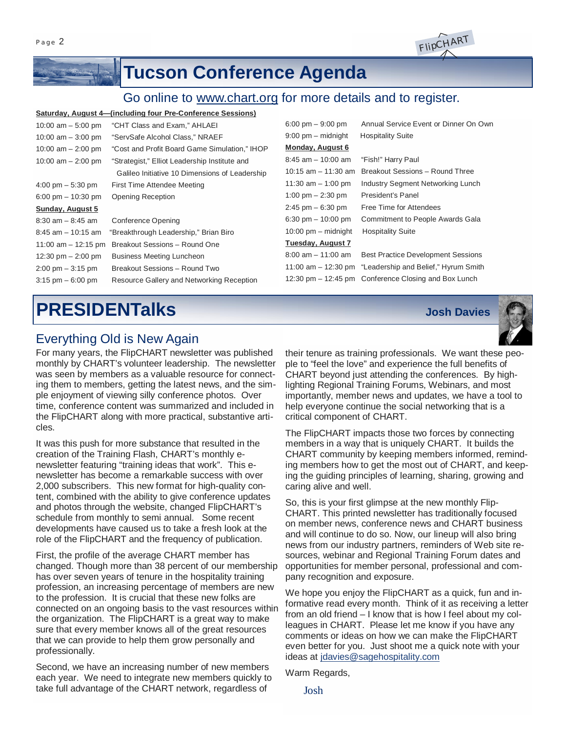Page 2

## **Tucson Conference Agenda**

### Go online to [www.chart.org](http://www.chart.org) for more details and to register.

#### **Saturday, August 4—(including four Pre-Conference Sessions)**

| 10:00 am $-$ 5:00 pm                | "CHT Class and Exam," AHLAEI                   | $6:00 \text{ pm} - 9:00 \text{ pm}$ | Annual Service Event or Dinner On Own                    |
|-------------------------------------|------------------------------------------------|-------------------------------------|----------------------------------------------------------|
| 10:00 am $-$ 3:00 pm                | "ServSafe Alcohol Class," NRAEF                | $9:00$ pm $-$ midnight              | <b>Hospitality Suite</b>                                 |
| 10:00 am $-$ 2:00 pm                | "Cost and Profit Board Game Simulation," IHOP  | Monday, August 6                    |                                                          |
| 10:00 am $-$ 2:00 pm                | "Strategist," Elliot Leadership Institute and  | $8:45$ am $-10:00$ am               | "Fish!" Harry Paul                                       |
|                                     | Galileo Initiative 10 Dimensions of Leadership | 10:15 $am - 11:30 am$               | Breakout Sessions - Round Three                          |
| $4:00 \text{ pm} - 5:30 \text{ pm}$ | First Time Attendee Meeting                    | 11:30 $am - 1:00$ pm                | <b>Industry Segment Networking Lunch</b>                 |
| 6:00 pm $-$ 10:30 pm                | <b>Opening Reception</b>                       | 1:00 pm $-$ 2:30 pm                 | President's Panel                                        |
| Sunday, August 5                    |                                                | $2:45$ pm $-6:30$ pm                | Free Time for Attendees                                  |
| $8:30$ am $-8:45$ am                | <b>Conference Opening</b>                      | 6:30 pm $- 10:00$ pm                | <b>Commitment to People Awards Gala</b>                  |
| $8:45$ am $-10:15$ am               | "Breakthrough Leadership," Brian Biro          | $10:00$ pm $-$ midnight             | <b>Hospitality Suite</b>                                 |
| 11:00 am $-$ 12:15 pm               | Breakout Sessions - Round One                  | Tuesday, August 7                   |                                                          |
| 12:30 pm $-$ 2:00 pm                | <b>Business Meeting Luncheon</b>               | $8:00$ am $-11:00$ am               | <b>Best Practice Development Sessions</b>                |
| $2:00 \text{ pm} - 3:15 \text{ pm}$ | Breakout Sessions - Round Two                  |                                     | 11:00 am – 12:30 pm "Leadership and Belief," Hyrum Smith |
| $3:15$ pm $-6:00$ pm                | Resource Gallery and Networking Reception      |                                     | 12:30 pm – 12:45 pm Conference Closing and Box Lunch     |
|                                     |                                                |                                     |                                                          |

# **PRESIDENTalks Josh Davies**

### Everything Old is New Again

For many years, the FlipCHART newsletter was published monthly by CHART's volunteer leadership. The newsletter was seen by members as a valuable resource for connecting them to members, getting the latest news, and the simple enjoyment of viewing silly conference photos. Over time, conference content was summarized and included in the FlipCHART along with more practical, substantive articles.

It was this push for more substance that resulted in the creation of the Training Flash, CHART's monthly enewsletter featuring "training ideas that work". This enewsletter has become a remarkable success with over 2,000 subscribers. This new format for high-quality content, combined with the ability to give conference updates and photos through the website, changed FlipCHART's schedule from monthly to semi annual. Some recent developments have caused us to take a fresh look at the role of the FlipCHART and the frequency of publication.

First, the profile of the average CHART member has changed. Though more than 38 percent of our membership has over seven years of tenure in the hospitality training profession, an increasing percentage of members are new to the profession. It is crucial that these new folks are connected on an ongoing basis to the vast resources within the organization. The FlipCHART is a great way to make sure that every member knows all of the great resources that we can provide to help them grow personally and professionally.

Second, we have an increasing number of new members each year. We need to integrate new members quickly to take full advantage of the CHART network, regardless of

their tenure as training professionals. We want these people to "feel the love" and experience the full benefits of CHART beyond just attending the conferences. By highlighting Regional Training Forums, Webinars, and most importantly, member news and updates, we have a tool to help everyone continue the social networking that is a critical component of CHART.

The FlipCHART impacts those two forces by connecting members in a way that is uniquely CHART. It builds the CHART community by keeping members informed, reminding members how to get the most out of CHART, and keeping the guiding principles of learning, sharing, growing and caring alive and well.

So, this is your first glimpse at the new monthly Flip-CHART. This printed newsletter has traditionally focused on member news, conference news and CHART business and will continue to do so. Now, our lineup will also bring news from our industry partners, reminders of Web site resources, webinar and Regional Training Forum dates and opportunities for member personal, professional and company recognition and exposure.

We hope you enjoy the FlipCHART as a quick, fun and informative read every month. Think of it as receiving a letter from an old friend – I know that is how I feel about my colleagues in CHART. Please let me know if you have any comments or ideas on how we can make the FlipCHART even better for you. Just shoot me a quick note with your ideas at [jdavies@sagehospitality.com](mailto:jdavies@sagehospitality.com)

Warm Regards,



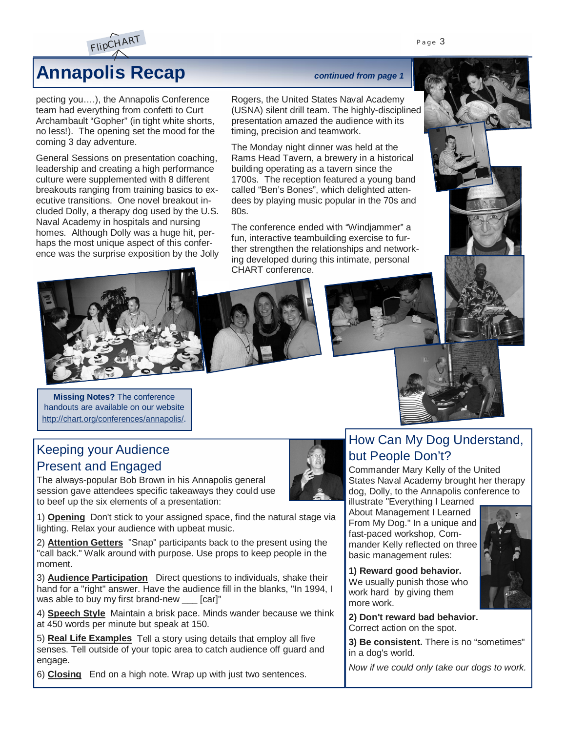



# **Annapolis Recap** *continued from page 1*

pecting you….), the Annapolis Conference team had everything from confetti to Curt Archambault "Gopher" (in tight white shorts, no less!). The opening set the mood for the coming 3 day adventure.

General Sessions on presentation coaching, leadership and creating a high performance culture were supplemented with 8 different breakouts ranging from training basics to executive transitions. One novel breakout included Dolly, a therapy dog used by the U.S. Naval Academy in hospitals and nursing homes. Although Dolly was a huge hit, perhaps the most unique aspect of this conference was the surprise exposition by the Jolly



Rogers, the United States Naval Academy (USNA) silent drill team. The highly-disciplined presentation amazed the audience with its timing, precision and teamwork.

The Monday night dinner was held at the Rams Head Tavern, a brewery in a historical building operating as a tavern since the 1700s. The reception featured a young band called "Ben's Bones", which delighted attendees by playing music popular in the 70s and 80s.

The conference ended with "Windjammer" a fun, interactive teambuilding exercise to further strengthen the relationships and networking developed during this intimate, personal CHART conference.







**Missing Notes?** The conference handouts are available on our website <http://chart.org/conferences/annapolis/>.

### Keeping your Audience Present and Engaged

The always-popular Bob Brown in his Annapolis general session gave attendees specific takeaways they could use to beef up the six elements of a presentation:



1) **Opening** Don't stick to your assigned space, find the natural stage via lighting. Relax your audience with upbeat music.

2) **Attention Getters** "Snap" participants back to the present using the "call back." Walk around with purpose. Use props to keep people in the moment.

3) **Audience Participation** Direct questions to individuals, shake their hand for a "right" answer. Have the audience fill in the blanks, "In 1994, I was able to buy my first brand-new \_\_\_ [car]"

4) **Speech Style** Maintain a brisk pace. Minds wander because we think at 450 words per minute but speak at 150.

5) **Real Life Examples** Tell a story using details that employ all five senses. Tell outside of your topic area to catch audience off guard and engage.

6) **Closing** End on a high note. Wrap up with just two sentences.

### How Can My Dog Understand, but People Don't?

Commander Mary Kelly of the United States Naval Academy brought her therapy dog, Dolly, to the Annapolis conference to

illustrate "Everything I Learned About Management I Learned From My Dog." In a unique and fast-paced workshop, Commander Kelly reflected on three basic management rules:

**1) Reward good behavior.**

We usually punish those who work hard by giving them more work.



**2) Don't reward bad behavior.** Correct action on the spot.

**3) Be consistent.** There is no "sometimes" in a dog's world.

*Now if we could only take our dogs to work.*